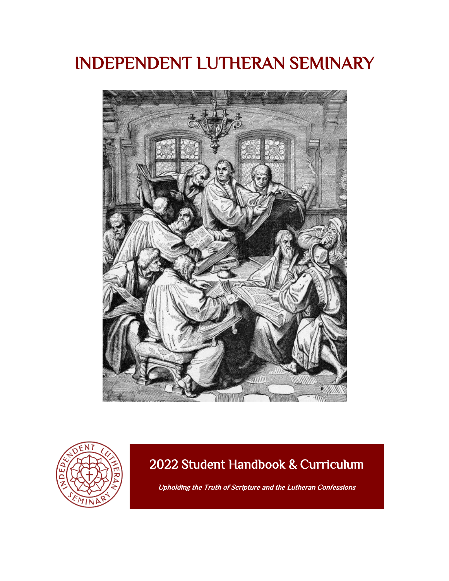# INDEPENDENT LUTHERAN SEMINARY





### 2022 Student Handbook & Curriculum

Upholding the Truth of Scripture and the Lutheran Confessions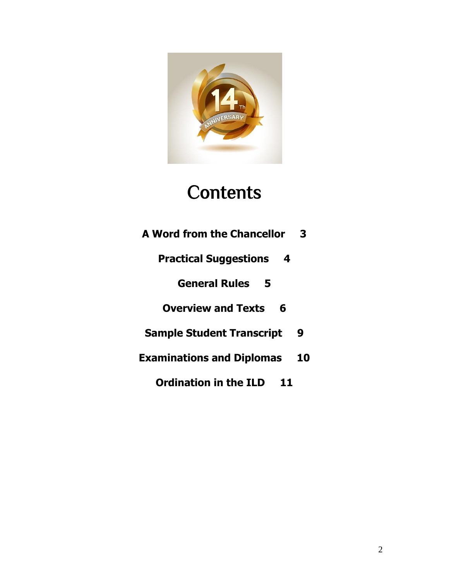

# **Contents**

- **A Word from the Chancellor 3**
	- **Practical Suggestions 4**

**General Rules 5**

**Overview and Texts 6**

- **Sample Student Transcript 9**
- **Examinations and Diplomas 10**

**Ordination in the ILD 11**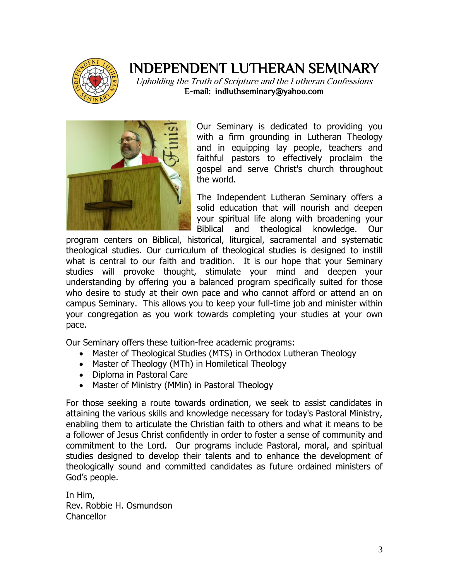

### INDEPENDENT LUTHERAN SEMINARY

Upholding the Truth of Scripture and the Lutheran Confessions E-mail: indluthseminary@yahoo.com



Our Seminary is dedicated to providing you with a firm grounding in Lutheran Theology and in equipping lay people, teachers and faithful pastors to effectively proclaim the gospel and serve Christ's church throughout the world.

The Independent Lutheran Seminary offers a solid education that will nourish and deepen your spiritual life along with broadening your Biblical and theological knowledge. Our

program centers on Biblical, historical, liturgical, sacramental and systematic theological studies. Our curriculum of theological studies is designed to instill what is central to our faith and tradition. It is our hope that your Seminary studies will provoke thought, stimulate your mind and deepen your understanding by offering you a balanced program specifically suited for those who desire to study at their own pace and who cannot afford or attend an on campus Seminary. This allows you to keep your full-time job and minister within your congregation as you work towards completing your studies at your own pace.

Our Seminary offers these tuition-free academic programs:

- Master of Theological Studies (MTS) in Orthodox Lutheran Theology
- Master of Theology (MTh) in Homiletical Theology
- Diploma in Pastoral Care
- Master of Ministry (MMin) in Pastoral Theology

For those seeking a route towards ordination, we seek to assist candidates in attaining the various skills and knowledge necessary for today's Pastoral Ministry, enabling them to articulate the Christian faith to others and what it means to be a follower of Jesus Christ confidently in order to foster a sense of community and commitment to the Lord. Our programs include Pastoral, moral, and spiritual studies designed to develop their talents and to enhance the development of theologically sound and committed candidates as future ordained ministers of God's people.

In Him, Rev. Robbie H. Osmundson **Chancellor**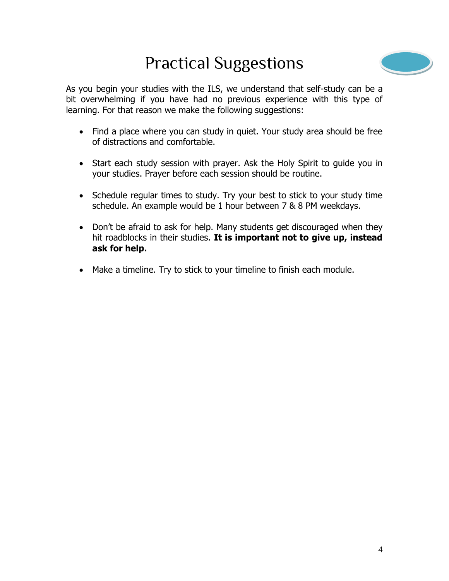# Practical Suggestions



As you begin your studies with the ILS, we understand that self-study can be a bit overwhelming if you have had no previous experience with this type of learning. For that reason we make the following suggestions:

- Find a place where you can study in quiet. Your study area should be free of distractions and comfortable.
- Start each study session with prayer. Ask the Holy Spirit to guide you in your studies. Prayer before each session should be routine.
- Schedule regular times to study. Try your best to stick to your study time schedule. An example would be 1 hour between 7 & 8 PM weekdays.
- Don't be afraid to ask for help. Many students get discouraged when they hit roadblocks in their studies. **It is important not to give up, instead ask for help.**
- Make a timeline. Try to stick to your timeline to finish each module.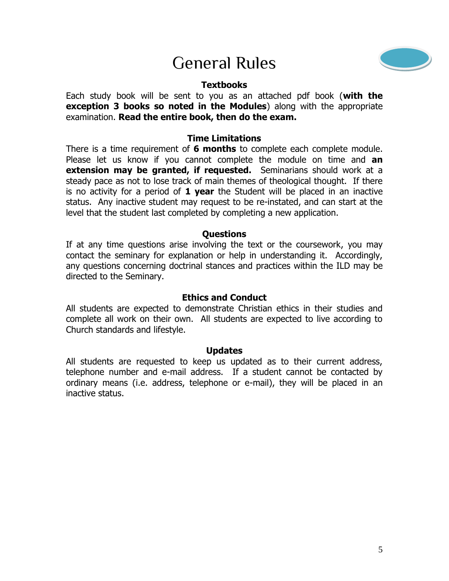# General Rules



#### **Textbooks**

Each study book will be sent to you as an attached pdf book (**with the exception 3 books so noted in the Modules**) along with the appropriate examination. **Read the entire book, then do the exam.**

#### **Time Limitations**

There is a time requirement of **6 months** to complete each complete module. Please let us know if you cannot complete the module on time and **an extension may be granted, if requested.** Seminarians should work at a steady pace as not to lose track of main themes of theological thought. If there is no activity for a period of **1 year** the Student will be placed in an inactive status. Any inactive student may request to be re-instated, and can start at the level that the student last completed by completing a new application.

#### **Questions**

If at any time questions arise involving the text or the coursework, you may contact the seminary for explanation or help in understanding it. Accordingly, any questions concerning doctrinal stances and practices within the ILD may be directed to the Seminary.

#### **Ethics and Conduct**

All students are expected to demonstrate Christian ethics in their studies and complete all work on their own. All students are expected to live according to Church standards and lifestyle.

#### **Updates**

All students are requested to keep us updated as to their current address, telephone number and e-mail address. If a student cannot be contacted by ordinary means (i.e. address, telephone or e-mail), they will be placed in an inactive status.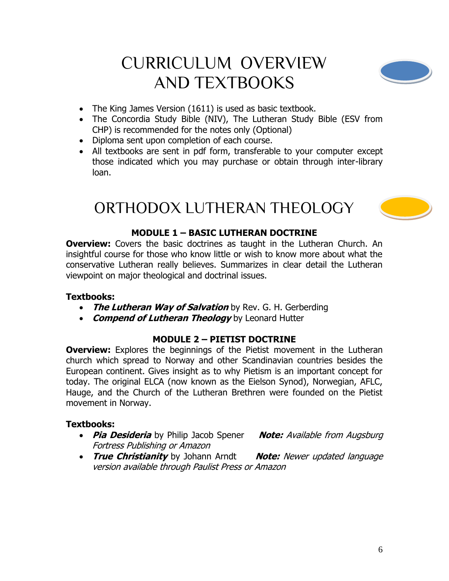# CURRICULUM OVERVIEW AND TEXTBOOKS



- The King James Version (1611) is used as basic textbook.
- The Concordia Study Bible (NIV), The Lutheran Study Bible (ESV from CHP) is recommended for the notes only (Optional)
- Diploma sent upon completion of each course.
- All textbooks are sent in pdf form, transferable to your computer except those indicated which you may purchase or obtain through inter-library loan.

## ORTHODOX LUTHERAN THEOLOGY

#### **MODULE 1 – BASIC LUTHERAN DOCTRINE**

**Overview:** Covers the basic doctrines as taught in the Lutheran Church. An insightful course for those who know little or wish to know more about what the conservative Lutheran really believes. Summarizes in clear detail the Lutheran viewpoint on major theological and doctrinal issues.

#### **Textbooks:**

- **The Lutheran Way of Salvation** by Rev. G. H. Gerberding
- **Compend of Lutheran Theology** by Leonard Hutter

#### **MODULE 2 – PIETIST DOCTRINE**

**Overview:** Explores the beginnings of the Pietist movement in the Lutheran church which spread to Norway and other Scandinavian countries besides the European continent. Gives insight as to why Pietism is an important concept for today. The original ELCA (now known as the Eielson Synod), Norwegian, AFLC, Hauge, and the Church of the Lutheran Brethren were founded on the Pietist movement in Norway.

#### **Textbooks:**

- **Pia Desideria** by Philip Jacob Spener **Note:** Available from Augsburg Fortress Publishing or Amazon
- **True Christianity** by Johann Arndt **Note:** Newer updated language version available through Paulist Press or Amazon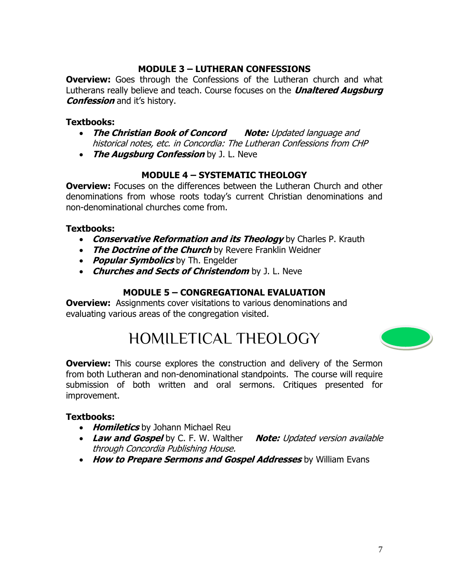#### **MODULE 3 – LUTHERAN CONFESSIONS**

**Overview:** Goes through the Confessions of the Lutheran church and what Lutherans really believe and teach. Course focuses on the **Unaltered Augsburg Confession** and it's history.

#### **Textbooks:**

- **The Christian Book of Concord Note:** Updated language and historical notes, etc. in Concordia: The Lutheran Confessions from CHP
- **The Augsburg Confession** by J. L. Neve

#### **MODULE 4 – SYSTEMATIC THEOLOGY**

**Overview:** Focuses on the differences between the Lutheran Church and other denominations from whose roots today's current Christian denominations and non-denominational churches come from.

#### **Textbooks:**

- **Conservative Reformation and its Theology** by Charles P. Krauth
- **The Doctrine of the Church** by Revere Franklin Weidner
- **Popular Symbolics** by Th. Engelder
- **Churches and Sects of Christendom** by J. L. Neve

#### **MODULE 5 – CONGREGATIONAL EVALUATION**

**Overview:** Assignments cover visitations to various denominations and evaluating various areas of the congregation visited.

## HOMILETICAL THEOLOGY



**Overview:** This course explores the construction and delivery of the Sermon from both Lutheran and non-denominational standpoints. The course will require submission of both written and oral sermons. Critiques presented for improvement.

#### **Textbooks:**

- **Homiletics** by Johann Michael Reu
- Law and Gospel by C. F. W. Walther **Note:** Updated version available through Concordia Publishing House.
- **How to Prepare Sermons and Gospel Addresses** by William Evans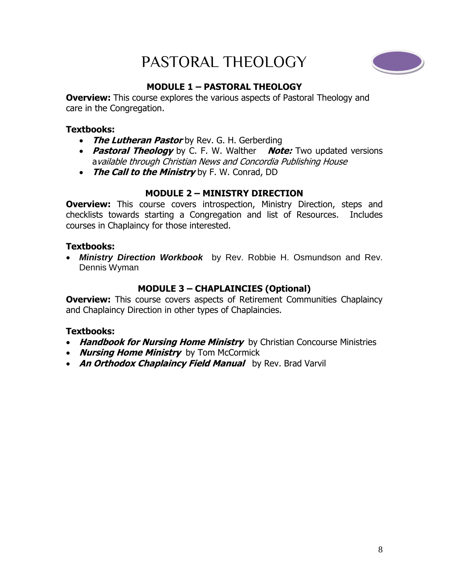# PASTORAL THEOLOGY



#### **MODULE 1 – PASTORAL THEOLOGY**

**Overview:** This course explores the various aspects of Pastoral Theology and care in the Congregation.

#### **Textbooks:**

- **The Lutheran Pastor** by Rev. G. H. Gerberding
- **Pastoral Theology** by C. F. W. Walther **Note:** Two updated versions available through Christian News and Concordia Publishing House
- **The Call to the Ministry** by F. W. Conrad, DD

#### **MODULE 2 – MINISTRY DIRECTION**

**Overview:** This course covers introspection, Ministry Direction, steps and checklists towards starting a Congregation and list of Resources. Includes courses in Chaplaincy for those interested.

#### **Textbooks:**

 *Ministry Direction Workbook* by Rev. Robbie H. Osmundson and Rev. Dennis Wyman

#### **MODULE 3 – CHAPLAINCIES (Optional)**

**Overview:** This course covers aspects of Retirement Communities Chaplaincy and Chaplaincy Direction in other types of Chaplaincies.

#### **Textbooks:**

- **Handbook for Nursing Home Ministry** by Christian Concourse Ministries
- **Nursing Home Ministry** by Tom McCormick
- **An Orthodox Chaplaincy Field Manual** by Rev. Brad Varvil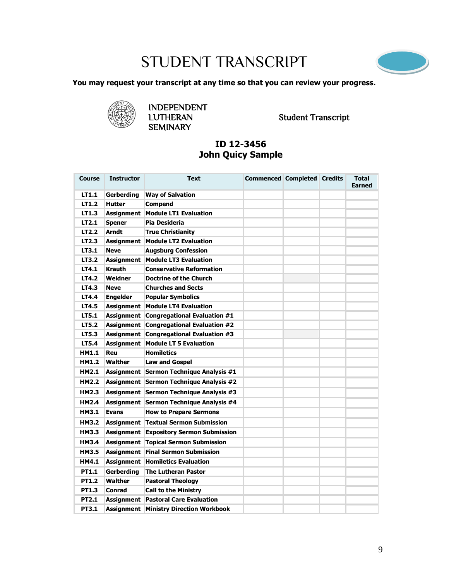# STUDENT TRANSCRIPT



**You may request your transcript at any time so that you can review your progress.**



INDEPENDENT **SEMINARY** 

LUTHERAN Student Transcript

#### **ID 12-3456 John Quicy Sample**

| <b>Course</b> | <b>Instructor</b> | <b>Text</b>                                    | <b>Commenced Completed Credits</b> |  | <b>Total</b><br><b>Earned</b> |
|---------------|-------------------|------------------------------------------------|------------------------------------|--|-------------------------------|
| LT1.1         | Gerberding        | <b>Way of Salvation</b>                        |                                    |  |                               |
| LT1.2         | <b>Hutter</b>     | <b>Compend</b>                                 |                                    |  |                               |
| LT1.3         |                   | Assignment   Module LT1 Evaluation             |                                    |  |                               |
| LT2.1         | <b>Spener</b>     | Pia Desideria                                  |                                    |  |                               |
| LT2.2         | <b>Arndt</b>      | <b>True Christianity</b>                       |                                    |  |                               |
| LT2.3         |                   | <b>Assignment   Module LT2 Evaluation</b>      |                                    |  |                               |
| LT3.1         | <b>Neve</b>       | <b>Augsburg Confession</b>                     |                                    |  |                               |
| LT3.2         |                   | <b>Assignment   Module LT3 Evaluation</b>      |                                    |  |                               |
| LT4.1         | <b>Krauth</b>     | <b>Conservative Reformation</b>                |                                    |  |                               |
| <b>LT4.2</b>  | Weidner           | <b>Doctrine of the Church</b>                  |                                    |  |                               |
| LT4.3         | <b>Neve</b>       | <b>Churches and Sects</b>                      |                                    |  |                               |
| LT4.4         | <b>Engelder</b>   | <b>Popular Symbolics</b>                       |                                    |  |                               |
| LT4.5         | <b>Assignment</b> | <b>Module LT4 Evaluation</b>                   |                                    |  |                               |
| LT5.1         |                   | <b>Assignment Congregational Evaluation #1</b> |                                    |  |                               |
| LT5.2         |                   | Assignment Congregational Evaluation #2        |                                    |  |                               |
| LT5.3         |                   | <b>Assignment Congregational Evaluation #3</b> |                                    |  |                               |
| <b>LT5.4</b>  | <b>Assignment</b> | <b>Module LT 5 Evaluation</b>                  |                                    |  |                               |
| HM1.1         | Reu               | <b>Homiletics</b>                              |                                    |  |                               |
| <b>HM1.2</b>  | <b>Walther</b>    | <b>Law and Gospel</b>                          |                                    |  |                               |
| HM2.1         |                   | Assignment Sermon Technique Analysis #1        |                                    |  |                               |
| HM2.2         |                   | Assignment Sermon Technique Analysis #2        |                                    |  |                               |
| <b>HM2.3</b>  |                   | Assignment Sermon Technique Analysis #3        |                                    |  |                               |
| HM2.4         |                   | Assignment Sermon Technique Analysis #4        |                                    |  |                               |
| <b>HM3.1</b>  | <b>Evans</b>      | <b>How to Prepare Sermons</b>                  |                                    |  |                               |
| HM3.2         |                   | <b>Assignment   Textual Sermon Submission</b>  |                                    |  |                               |
| <b>HM3.3</b>  |                   | <b>Assignment Expository Sermon Submission</b> |                                    |  |                               |
| <b>HM3.4</b>  |                   | Assignment Topical Sermon Submission           |                                    |  |                               |
| <b>HM3.5</b>  |                   | <b>Assignment Final Sermon Submission</b>      |                                    |  |                               |
| HM4.1         |                   | <b>Assignment Homiletics Evaluation</b>        |                                    |  |                               |
| <b>PT1.1</b>  | Gerberding        | <b>The Lutheran Pastor</b>                     |                                    |  |                               |
| <b>PT1.2</b>  | Walther           | <b>Pastoral Theology</b>                       |                                    |  |                               |
| PT1.3         | Conrad            | <b>Call to the Ministry</b>                    |                                    |  |                               |
| PT2.1         |                   | <b>Assignment Pastoral Care Evaluation</b>     |                                    |  |                               |
| <b>PT3.1</b>  |                   | <b>Assignment Ministry Direction Workbook</b>  |                                    |  |                               |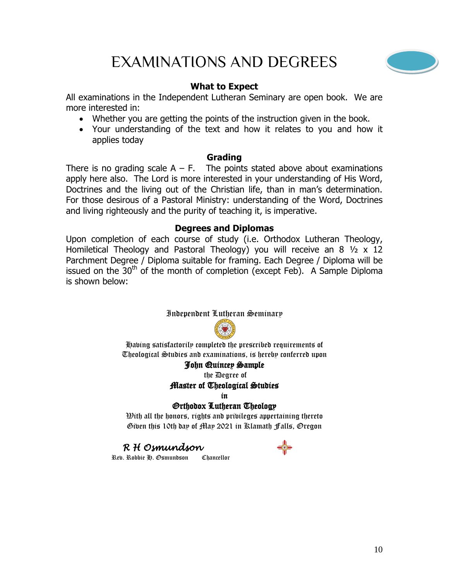# EXAMINATIONS AND DEGREES



#### **What to Expect**

All examinations in the Independent Lutheran Seminary are open book. We are more interested in:

- Whether you are getting the points of the instruction given in the book.
- Your understanding of the text and how it relates to you and how it applies today

#### **Grading**

There is no grading scale  $A - F$ . The points stated above about examinations apply here also. The Lord is more interested in your understanding of His Word, Doctrines and the living out of the Christian life, than in man's determination. For those desirous of a Pastoral Ministry: understanding of the Word, Doctrines and living righteously and the purity of teaching it, is imperative.

#### **Degrees and Diplomas**

Upon completion of each course of study (i.e. Orthodox Lutheran Theology, Homiletical Theology and Pastoral Theology) you will receive an 8 ½ x 12 Parchment Degree / Diploma suitable for framing. Each Degree / Diploma will be issued on the  $30<sup>th</sup>$  of the month of completion (except Feb). A Sample Diploma is shown below:

#### Independent Lutheran Seminary



Having satisfactorily completed the prescribed requirements of Theological Studies and examinations, is hereby conferred upon

#### John Quincey Sample

the Degree of

#### Master of Theological Studies

in

#### Orthodox Lutheran Theology

 $\mathfrak M$ ith all the honors, rights and pribileges appertaining thereto Given this 10th day of May 2021 in Klamath Falls, Oregon

#### *R H Osmundson*

Rev. Robbie H. Osmundson Chancellor